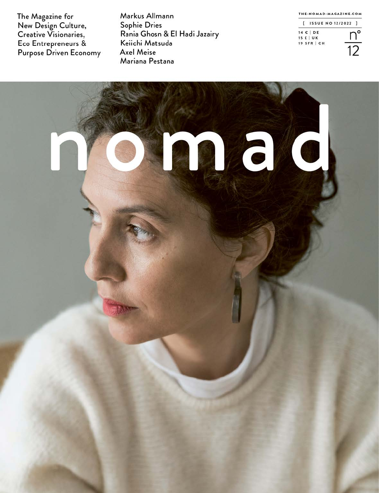The Magazine for<br>New Design Culture,<br>Creative Visionaries, Eco Entrepreneurs &<br>Purpose Driven Economy

Markus Allmann **Sophie Dries** Rania Ghosn & El Hadi Jazairy Keiichi Matsuda **Axel Meise** Mariana Pestana





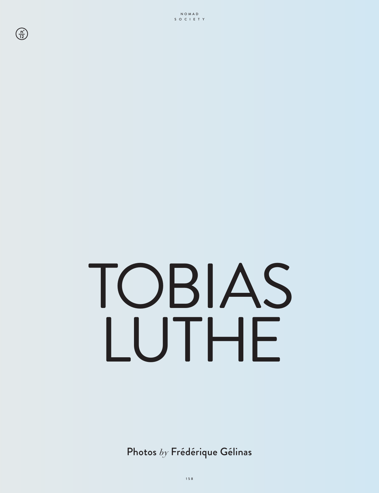$\begin{pmatrix} n \\ 12 \end{pmatrix}$ 

# TOBIAS LUTHE

Photos *by* Frédérique Gélinas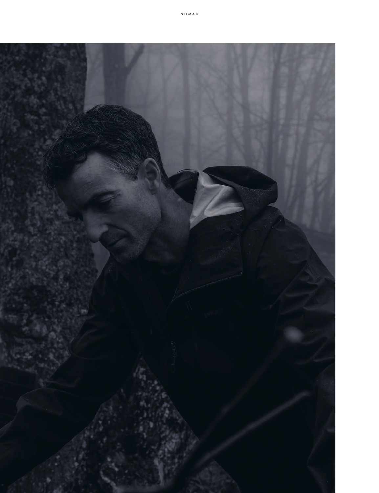

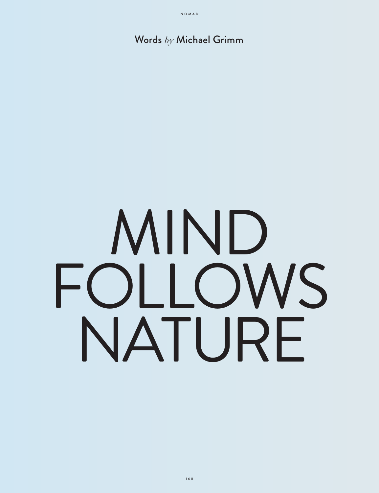NOMAD

#### Words *by* Michael Grimm

## MIND FOLLOWS NATURE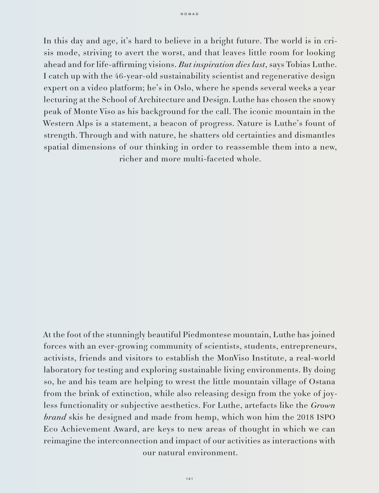In this day and age, it's hard to believe in a bright future. The world is in crisis mode, striving to avert the worst, and that leaves little room for looking ahead and for life-affirming visions. *But inspiration dies last*, says Tobias Luthe. I catch up with the 46-year-old sustainability scientist and regenerative design expert on a video platform; he's in Oslo, where he spends several weeks a year lecturing at the School of Architecture and Design. Luthe has chosen the snowy peak of Monte Viso as his background for the call. The iconic mountain in the Western Alps is a statement, a beacon of progress. Nature is Luthe's fount of strength. Through and with nature, he shatters old certainties and dismantles spatial dimensions of our thinking in order to reassemble them into a new, richer and more multi-faceted whole.

At the foot of the stunningly beautiful Piedmontese mountain, Luthe has joined forces with an ever-growing community of scientists, students, entrepreneurs, activists, friends and visitors to establish the MonViso Institute, a real-world laboratory for testing and exploring sustainable living environments. By doing so, he and his team are helping to wrest the little mountain village of Ostana from the brink of extinction, while also releasing design from the yoke of joyless functionality or subjective aesthetics. For Luthe, artefacts like the *Grown brand* skis he designed and made from hemp, which won him the 2018 ISPO Eco Achievement Award, are keys to new areas of thought in which we can reimagine the interconnection and impact of our activities as interactions with our natural environment.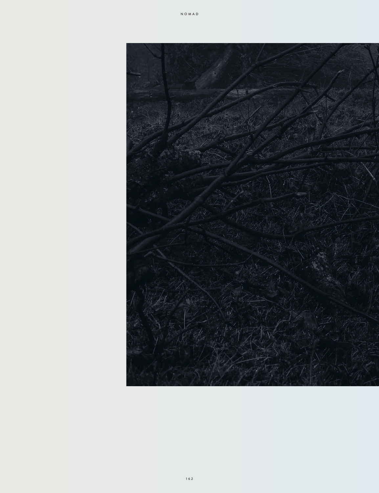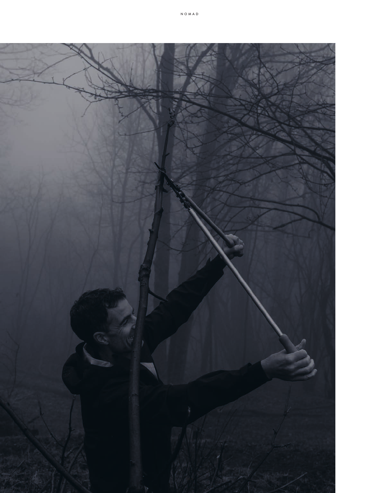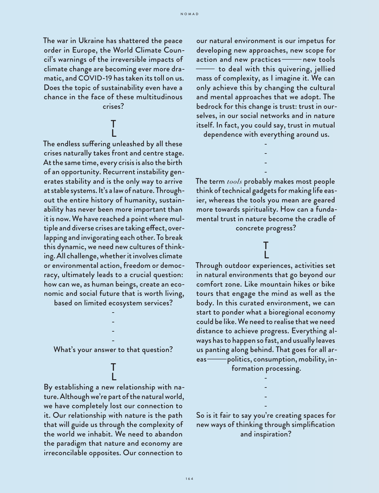The war in Ukraine has shattered the peace order in Europe, the World Climate Council's warnings of the irreversible impacts of climate change are becoming ever more dramatic, and COVID-19 has taken its toll on us. Does the topic of sustainability even have a chance in the face of these multitudinous crises?

#### T L

The endless suffering unleashed by all these crises naturally takes front and centre stage. At the same time, every crisis is also the birth of an opportunity. Recurrent instability generates stability and is the only way to arrive at stable systems. It's a law of nature. Throughout the entire history of humanity, sustainability has never been more important than it is now. We have reached a point where multiple and diverse crises are taking effect, overlapping and invigorating each other. To break this dynamic, we need new cultures of thinking. All challenge, whether it involves climate or environmental action, freedom or democracy, ultimately leads to a crucial question: how can we, as human beings, create an economic and social future that is worth living,

based on limited ecosystem services? -

> - -

- What's your answer to that question?

T

L By establishing a new relationship with nature. Although we're part of the natural world, we have completely lost our connection to it. Our relationship with nature is the path that will guide us through the complexity of the world we inhabit. We need to abandon the paradigm that nature and economy are irreconcilable opposites. Our connection to

our natural environment is our impetus for developing new approaches, new scope for our natural environment is our impetus for<br>developing new approaches, new scope for<br>action and new practices—— new tools<br>—— to deal with this quivering, jellied our natural environment is our impetus for<br>developing new approaches, new scope for<br>action and new practices——new tools<br>—— to deal with this quivering, jellied<br>mass of complexity, as I imagine it. We can only achieve this by changing the cultural and mental approaches that we adopt. The bedrock for this change is trust: trust in ourselves, in our social networks and in nature itself. In fact, you could say, trust in mutual

dependence with everything around us. -

> - -

- The term *tools* probably makes most people think of technical gadgets for making life easier, whereas the tools you mean are geared more towards spirituality. How can a fundamental trust in nature become the cradle of concrete progress?

#### T L

Through outdoor experiences, activities set in natural environments that go beyond our comfort zone. Like mountain hikes or bike tours that engage the mind as well as the body. In this curated environment, we can start to ponder what a bioregional economy could be like. We need to realise that we need distance to achieve progress. Everything al-<br>ways has to happen so fast, and usually leaves<br>us panting along behind. That goes for all ar-<br>eas——politics, consumption, mobility, in-<br>formation processing. ways has to happen so fast, and usually leaves us panting along behind. That goes for all ar-

formation processing. -

> - - -

So is it fair to say you're creating spaces for new ways of thinking through simplification and inspiration?

164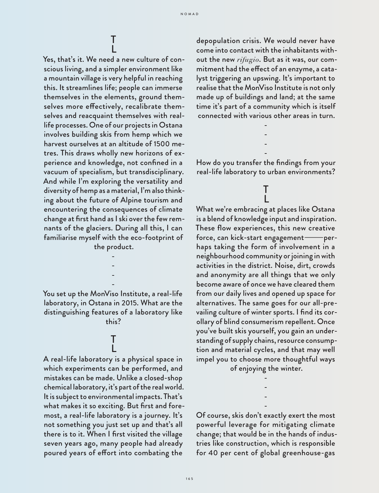## T L

Yes, that's it. We need a new culture of conscious living, and a simpler environment like a mountain village is very helpful in reaching this. It streamlines life; people can immerse themselves in the elements, ground themselves more effectively, recalibrate themselves and reacquaint themselves with reallife processes. One of our projects in Ostana involves building skis from hemp which we harvest ourselves at an altitude of 1500 metres. This draws wholly new horizons of experience and knowledge, not confined in a vacuum of specialism, but transdisciplinary. And while I'm exploring the versatility and diversity of hemp as a material, I'm also thinking about the future of Alpine tourism and encountering the consequences of climate change at first hand as I ski over the few remnants of the glaciers. During all this, I can familiarise myself with the eco-footprint of the product.

You set up the MonViso Institute, a real-life laboratory, in Ostana in 2015. What are the distinguishing features of a laboratory like this?

- - - -

#### T L

A real-life laboratory is a physical space in which experiments can be performed, and mistakes can be made. Unlike a closed-shop chemical laboratory, it's part of the real world. It is subject to environmental impacts. That's what makes it so exciting. But first and foremost, a real-life laboratory is a journey. It's not something you just set up and that's all there is to it. When I first visited the village seven years ago, many people had already poured years of effort into combating the

depopulation crisis. We would never have come into contact with the inhabitants without the new *rifugio*. But as it was, our commitment had the effect of an enzyme, a catalyst triggering an upswing. It's important to realise that the MonViso Institute is not only made up of buildings and land; at the same time it's part of a community which is itself connected with various other areas in turn.

- How do you transfer the findings from your real-life laboratory to urban environments?

T

- - -

L What we're embracing at places like Ostana is a blend of knowledge input and inspiration. These flow experiences, this new creative What we're embracing at places like Ostana<br>is a blend of knowledge input and inspiration.<br>These flow experiences, this new creative<br>force, can kick-start engagement——per-<br>haps taking the form of involvement in a neighbourhood community or joining in with activities in the district. Noise, dirt, crowds and anonymity are all things that we only become aware of once we have cleared them from our daily lives and opened up space for alternatives. The same goes for our all-prevailing culture of winter sports. I find its corollary of blind consumerism repellent. Once you've built skis yourself, you gain an understanding of supply chains, resource consumption and material cycles, and that may well impel you to choose more thoughtful ways of enjoying the winter.

- Of course, skis don't exactly exert the most powerful leverage for mitigating climate change; that would be in the hands of industries like construction, which is responsible for 40 per cent of global greenhouse-gas

- - -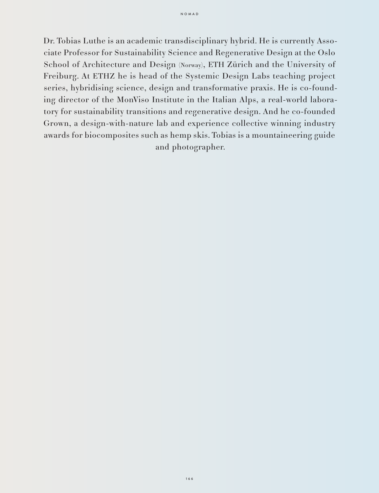Dr. Tobias Luthe is an academic transdisciplinary hybrid. He is currently Associate Professor for Sustainability Science and Regenerative Design at the Oslo School of Architecture and Design (Norway), ETH Zürich and the University of Freiburg. At ETHZ he is head of the Systemic Design Labs teaching project series, hybridising science, design and transformative praxis. He is co-founding director of the MonViso Institute in the Italian Alps, a real-world laboratory for sustainability transitions and regenerative design. And he co-founded Grown, a design-with-nature lab and experience collective winning industry awards for biocomposites such as hemp skis. Tobias is a mountaineering guide and photographer.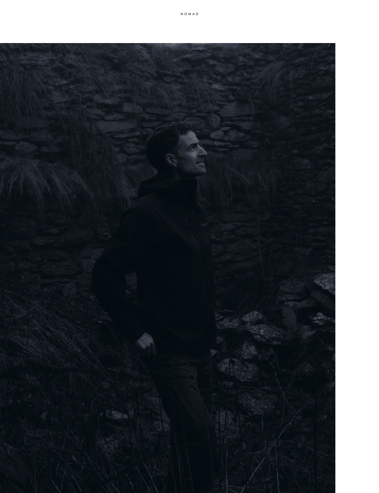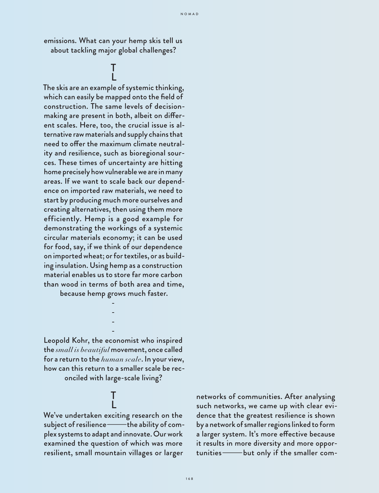emissions. What can your hemp skis tell us about tackling major global challenges?

#### T L

The skis are an example of systemic thinking, which can easily be mapped onto the field of construction. The same levels of decisionmaking are present in both, albeit on different scales. Here, too, the crucial issue is alternative raw materials and supply chains that need to offer the maximum climate neutrality and resilience, such as bioregional sources. These times of uncertainty are hitting home precisely how vulnerable we are in many areas. If we want to scale back our dependence on imported raw materials, we need to start by producing much more ourselves and creating alternatives, then using them more efficiently. Hemp is a good example for demonstrating the workings of a systemic circular materials economy; it can be used for food, say, if we think of our dependence on imported wheat; or for textiles, or as building insulation. Using hemp as a construction material enables us to store far more carbon than wood in terms of both area and time,

> because hemp grows much faster. -

> > - - -

Leopold Kohr, the economist who inspired the *small is beautiful* movement, once called for a return to the *human scale*. In your view, how can this return to a smaller scale be reconciled with large-scale living?

### L We've undertaken exciting research on the  $\begin{array}{c} \parallel \rule{0pt}{2mm} \rule{2mm}{2mm} \rule{2mm}{2mm} \rule{2mm}{2mm} \rule{2mm}{2mm} \rule{2mm}{2mm} \rule{2mm}{2mm} \rule{2mm}{2mm} \rule{2mm}{2mm} \rule{2mm}{2mm} \rule{2mm}{2mm} \rule{2mm}{2mm} \rule{2mm}{2mm} \rule{2mm}{2mm} \rule{2mm}{2mm} \rule{2mm}{2mm} \rule{2mm}{2mm} \rule{2mm}{2mm} \rule{2mm}{2mm} \rule{2mm}{2mm} \rule{2mm}{2mm} \rule{2mm}{2mm} \rule{2mm}{2mm} \rule{2mm$ examined the question of which was more resilient, small mountain villages or larger

T

networks of communities. After analysing such networks, we came up with clear evidence that the greatest resilience is shown by a network of smaller regions linked to form a larger system. It's more effective because it results in more diversity and more opporby a network of smaller regions linked to form<br>a larger system. It's more effective because<br>it results in more diversity and more oppor-<br>tunities——but only if the smaller com-